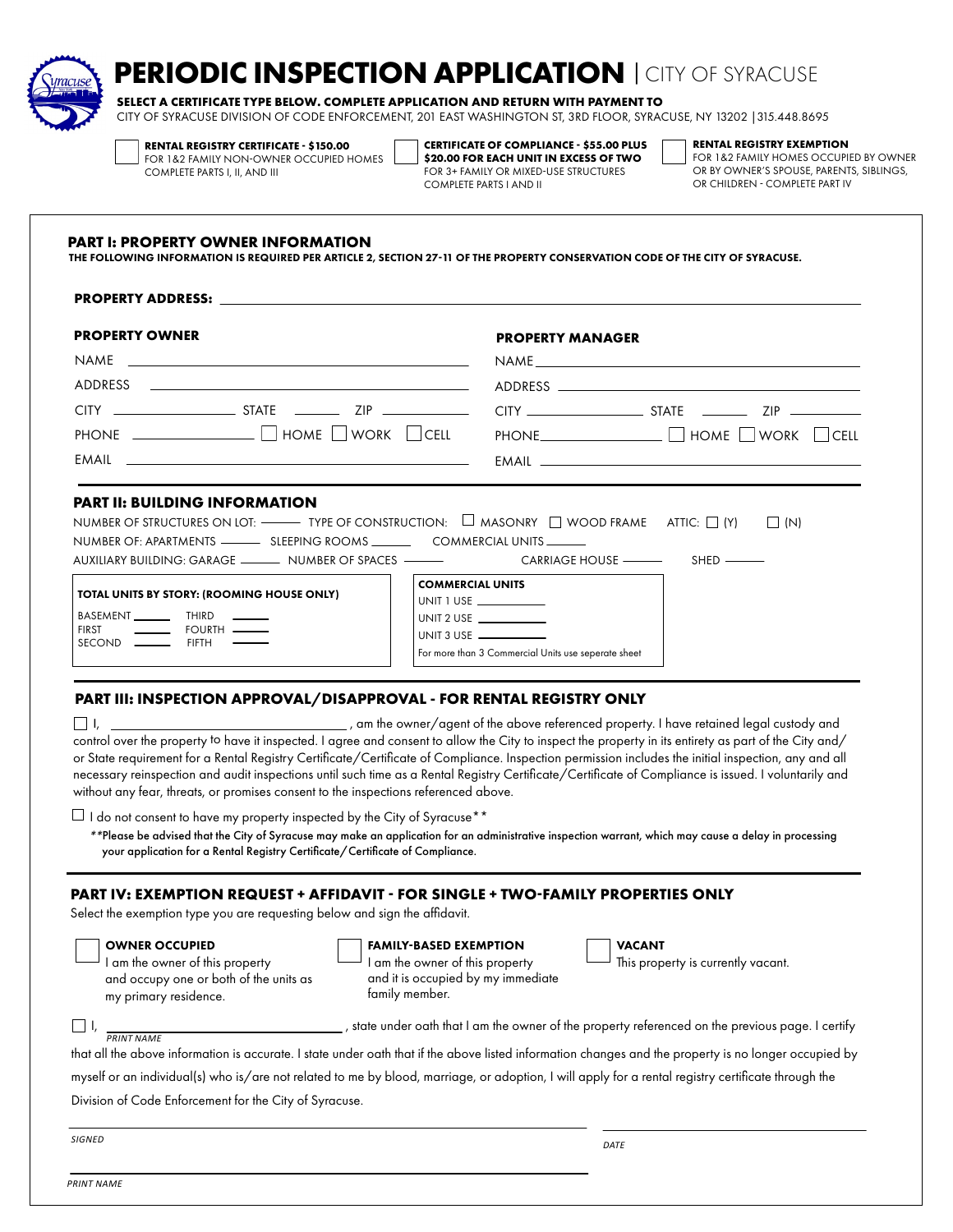

# **PERIODIC INSPECTION APPLICATION** <sup>|</sup>CITY OF SYRACUSE

**SELECT A CERTIFICATE TYPE BELOW. COMPLETE APPLICATION AND RETURN WITH PAYMENT TO** CITY OF SYRACUSE DIVISION OF CODE ENFORCEMENT, 201 EAST WASHINGTON ST, 3RD FLOOR, SYRACUSE, NY 13202 |315.448.8695

**RENTAL REGISTRY CERTIFICATE - \$150.00**

FOR 1&2 FAMILY NON-OWNER OCCUPIED HOMES

**CERTIFICATE OF COMPLIANCE - \$55.00 PLUS \$20.00 FOR EACH UNIT IN EXCESS OF TWO** FOR 3+ FAMILY OR MIXED-USE STRUCTURES COMPLETE PARTS I AND II

**RENTAL REGISTRY EXEMPTION**

FOR 1&2 FAMILY HOMES OCCUPIED BY OWNER OR BY OWNER'S SPOUSE, PARENTS, SIBLINGS, OR CHILDREN - COMPLETE PART IV

#### **PART I: PROPERTY OWNER INFORMATION**

COMPLETE PARTS I, II, AND III

THE FOLLOWING INFORMATION IS REQUIRED PER ARTICLE 2, SECTION 27-11 OF THE PROPERTY CONSERVATION CODE OF THE CITY OF SYRACUSE.

#### **PART II: BUILDING INFORMATION** NUMBER OF STRUCTURES ON LOT:  $\Box$  Type of construction:  $\Box$  masonry  $\Box$  wood frame attic:  $\Box$  (Y)  $\Box$  (N) NUMBER OF: APARTMENTS SLEEPING ROOMS COMMERCIAL UNITS AUXILIARY BUILDING: GARAGE \_\_\_\_\_\_\_\_\_ NUMBER OF SPACES \_\_\_\_\_\_\_\_\_\_\_\_\_\_\_\_CARRIAGE HOUSE \_\_\_\_\_\_\_\_\_\_\_\_\_\_SHED \_\_\_\_\_ **PROPERTY ADDRESS:** NAME ADDRESS  $CITY$   $ZIP$   $ZIP$  $PHONE$   $\Box$  HOME  $\Box$  WORK  $\Box$  CELL EMAIL NAME ADDRESS  $CITY$   $\qquad \qquad \qquad$  STATE  $\qquad \qquad$  ZIP  $\qquad \qquad$ PHONE  $\Box$   $\Box$  HOME  $\Box$  WORK  $\Box$  CELL EMAIL **PROPERTY OWNER PROPERTY MANAGER**  TOTAL UNITS BY STORY: (ROOMING HOUSE ONLY) BASEMENT \_\_\_\_\_\_\_\_\_ THIRD FIRST **Internal COURTH** SECOND **\_\_\_\_\_\_\_** FIFTH COMMERCIAL UNITS UNIT 1 USE UNIT 2 USE UNIT 3 USE For more than 3 Commercial Units use seperate sheet

## **PART III: INSPECTION APPROVAL/DISAPPROVAL - FOR RENTAL REGISTRY ONLY**

 $\Box$  I, \_\_\_\_\_\_\_\_\_\_\_\_\_\_\_\_\_\_\_\_\_\_\_\_\_\_\_\_\_\_\_\_\_\_, am the owner/agent of the above referenced property. I have retained legal custody and control over the property to have it inspected. I agree and consent to allow the City to inspect the property in its entirety as part of the City and/ or State requirement for a Rental Registry Certificate/Certificate of Compliance. Inspection permission includes the initial inspection, any and all necessary reinspection and audit inspections until such time as a Rental Registry Certificate/Certificate of Compliance is issued. I voluntarily and without any fear, threats, or promises consent to the inspections referenced above.

 $\Box$  I do not consent to have my property inspected by the City of Syracuse\*\*

*\*\**Please be advised that the City of Syracuse may make an application for an administrative inspection warrant, which may cause a delay in processing your application for a Rental Registry Certificate/Certificate of Compliance.

## **PART IV: EXEMPTION REQUEST + AFFIDAVIT - FOR SINGLE + TWO-FAMILY PROPERTIES ONLY**

Select the exemption type you are requesting below and sign the affidavit.

#### OWNER OCCUPIED I am the owner of this property

my primary residence.

|  | <b>FAMILY-BASED EXEMPTION</b> |  |  |  |
|--|-------------------------------|--|--|--|
|--|-------------------------------|--|--|--|

I am the owner of this property and it is occupied by my immediate family member.

# VACANT

This property is currently vacant.

| <b>PRINT NAME</b> |
|-------------------|

I, , state under oath that I am the owner of the property referenced on the previous page. I certify

that all the above information is accurate. I state under oath that if the above listed information changes and the property is no longer occupied by

myself or an individual(s) who is/are not related to me by blood, marriage, or adoption, I will apply for a rental registry certificate through the

Division of Code Enforcement for the City of Syracuse.

and occupy one or both of the units as

*SIGNED DATE*